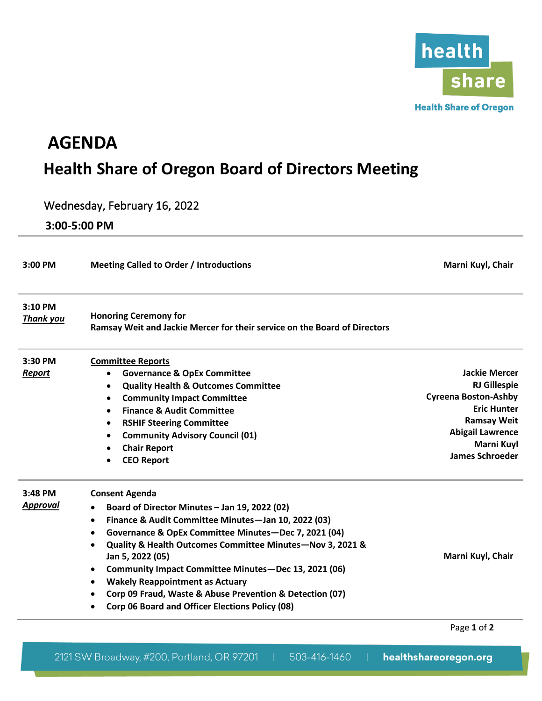

## **AGENDA Health Share of Oregon Board of Directors Meeting**

## Wednesday, February 16, 2022

**3:00-5:00 PM**

| 3:00 PM                     | <b>Meeting Called to Order / Introductions</b>                                                            | Marni Kuyl, Chair           |
|-----------------------------|-----------------------------------------------------------------------------------------------------------|-----------------------------|
| 3:10 PM<br><b>Thank you</b> | <b>Honoring Ceremony for</b><br>Ramsay Weit and Jackie Mercer for their service on the Board of Directors |                             |
| 3:30 PM                     | <b>Committee Reports</b>                                                                                  |                             |
| <b>Report</b>               | <b>Governance &amp; OpEx Committee</b><br>$\bullet$                                                       | <b>Jackie Mercer</b>        |
|                             | <b>Quality Health &amp; Outcomes Committee</b><br>٠                                                       | <b>RJ Gillespie</b>         |
|                             | <b>Community Impact Committee</b><br>٠                                                                    | <b>Cyreena Boston-Ashby</b> |
|                             | <b>Finance &amp; Audit Committee</b><br>$\bullet$                                                         | <b>Eric Hunter</b>          |
|                             | <b>RSHIF Steering Committee</b><br>٠                                                                      | <b>Ramsay Weit</b>          |
|                             | <b>Community Advisory Council (01)</b><br>٠                                                               | <b>Abigail Lawrence</b>     |
|                             | <b>Chair Report</b>                                                                                       | Marni Kuyl                  |
|                             | <b>CEO Report</b><br>٠                                                                                    | <b>James Schroeder</b>      |
| 3:48 PM                     | <b>Consent Agenda</b>                                                                                     |                             |
| Approval                    | Board of Director Minutes - Jan 19, 2022 (02)                                                             |                             |
|                             | Finance & Audit Committee Minutes-Jan 10, 2022 (03)<br>$\bullet$                                          |                             |
|                             | Governance & OpEx Committee Minutes-Dec 7, 2021 (04)<br>$\bullet$                                         |                             |
|                             | Quality & Health Outcomes Committee Minutes-Nov 3, 2021 &                                                 |                             |
|                             | Jan 5, 2022 (05)                                                                                          | Marni Kuyl, Chair           |
|                             | Community Impact Committee Minutes-Dec 13, 2021 (06)                                                      |                             |
|                             | <b>Wakely Reappointment as Actuary</b><br>$\bullet$                                                       |                             |
|                             | Corp 09 Fraud, Waste & Abuse Prevention & Detection (07)                                                  |                             |
|                             | Corp 06 Board and Officer Elections Policy (08)                                                           |                             |